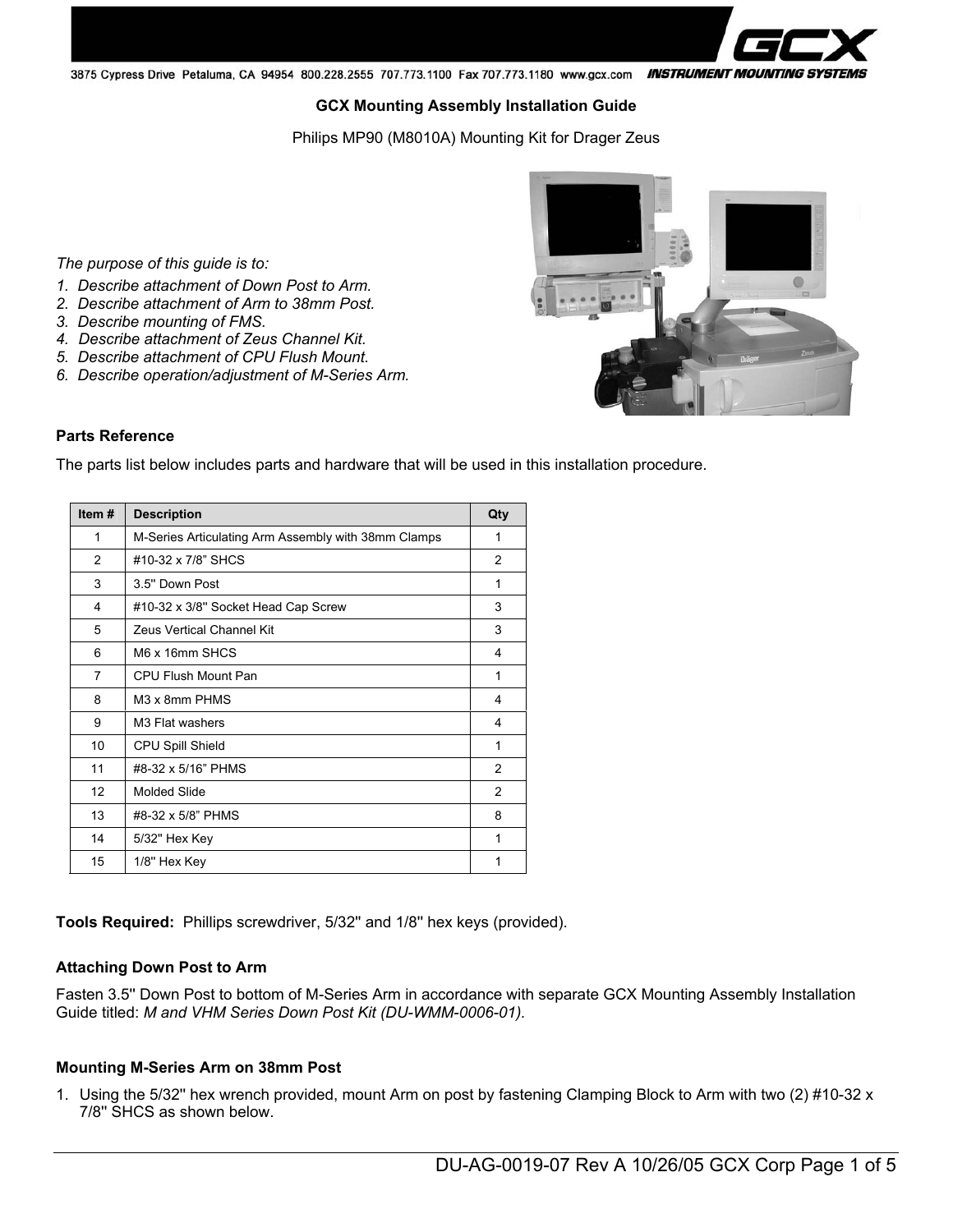3875 Cypress Drive Petaluma, CA 94954 800.228.2555 707.773.1100 Fax 707.773.1180 www.gcx.com INSTRUMENT MOUNTING SYSTEMS

#### **GCX Mounting Assembly Installation Guide**

Philips MP90 (M8010A) Mounting Kit for Drager Zeus

*The purpose of this guide is to:* 

- *1. Describe attachment of Down Post to Arm.*
- *2. Describe attachment of Arm to 38mm Post.*
- *3. Describe mounting of FMS.*
- *4. Describe attachment of Zeus Channel Kit.*
- *5. Describe attachment of CPU Flush Mount.*
- *6. Describe operation/adjustment of M-Series Arm.*



#### **Parts Reference**

The parts list below includes parts and hardware that will be used in this installation procedure.

| Item#           | <b>Description</b>                                  | Qty            |
|-----------------|-----------------------------------------------------|----------------|
| 1               | M-Series Articulating Arm Assembly with 38mm Clamps | 1              |
| $\overline{2}$  | #10-32 x 7/8" SHCS                                  | $\overline{2}$ |
| 3               | 3.5" Down Post                                      | 1              |
| 4               | #10-32 x 3/8" Socket Head Cap Screw                 | 3              |
| 5               | <b>Zeus Vertical Channel Kit</b>                    | 3              |
| 6               | M6 x 16mm SHCS                                      | 4              |
| $\overline{7}$  | CPU Flush Mount Pan                                 | 1              |
| 8               | M <sub>3</sub> x 8mm PHM <sub>S</sub>               | 4              |
| 9               | M <sub>3</sub> Flat washers                         | 4              |
| 10              | <b>CPU Spill Shield</b>                             | 1              |
| 11              | #8-32 x 5/16" PHMS                                  | $\mathcal{P}$  |
| 12 <sup>2</sup> | <b>Molded Slide</b>                                 | $\overline{2}$ |
| 13              | #8-32 x 5/8" PHMS                                   | 8              |
| 14              | 5/32" Hex Key                                       | 1              |
| 15              | 1/8" Hex Key                                        | 1              |

**Tools Required:** Phillips screwdriver, 5/32'' and 1/8'' hex keys (provided).

#### **Attaching Down Post to Arm**

Fasten 3.5'' Down Post to bottom of M-Series Arm in accordance with separate GCX Mounting Assembly Installation Guide titled: *M and VHM Series Down Post Kit (DU-WMM-0006-01).*

#### **Mounting M-Series Arm on 38mm Post**

1. Using the 5/32'' hex wrench provided, mount Arm on post by fastening Clamping Block to Arm with two (2) #10-32 x 7/8'' SHCS as shown below.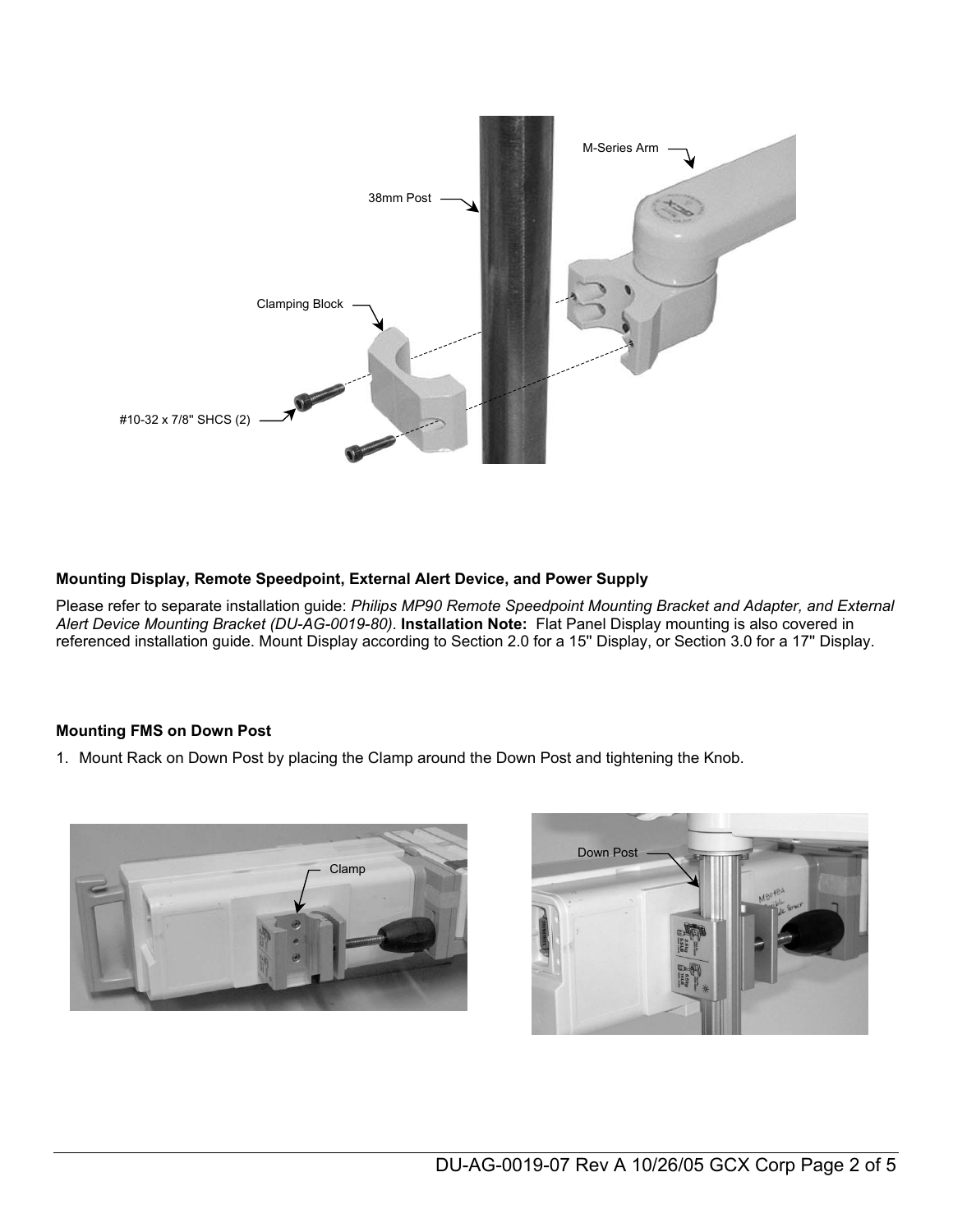

## **Mounting Display, Remote Speedpoint, External Alert Device, and Power Supply**

Please refer to separate installation guide: *Philips MP90 Remote Speedpoint Mounting Bracket and Adapter, and External Alert Device Mounting Bracket (DU-AG-0019-80)*. **Installation Note:** Flat Panel Display mounting is also covered in referenced installation guide. Mount Display according to Section 2.0 for a 15'' Display, or Section 3.0 for a 17'' Display.

### **Mounting FMS on Down Post**

1. Mount Rack on Down Post by placing the Clamp around the Down Post and tightening the Knob.



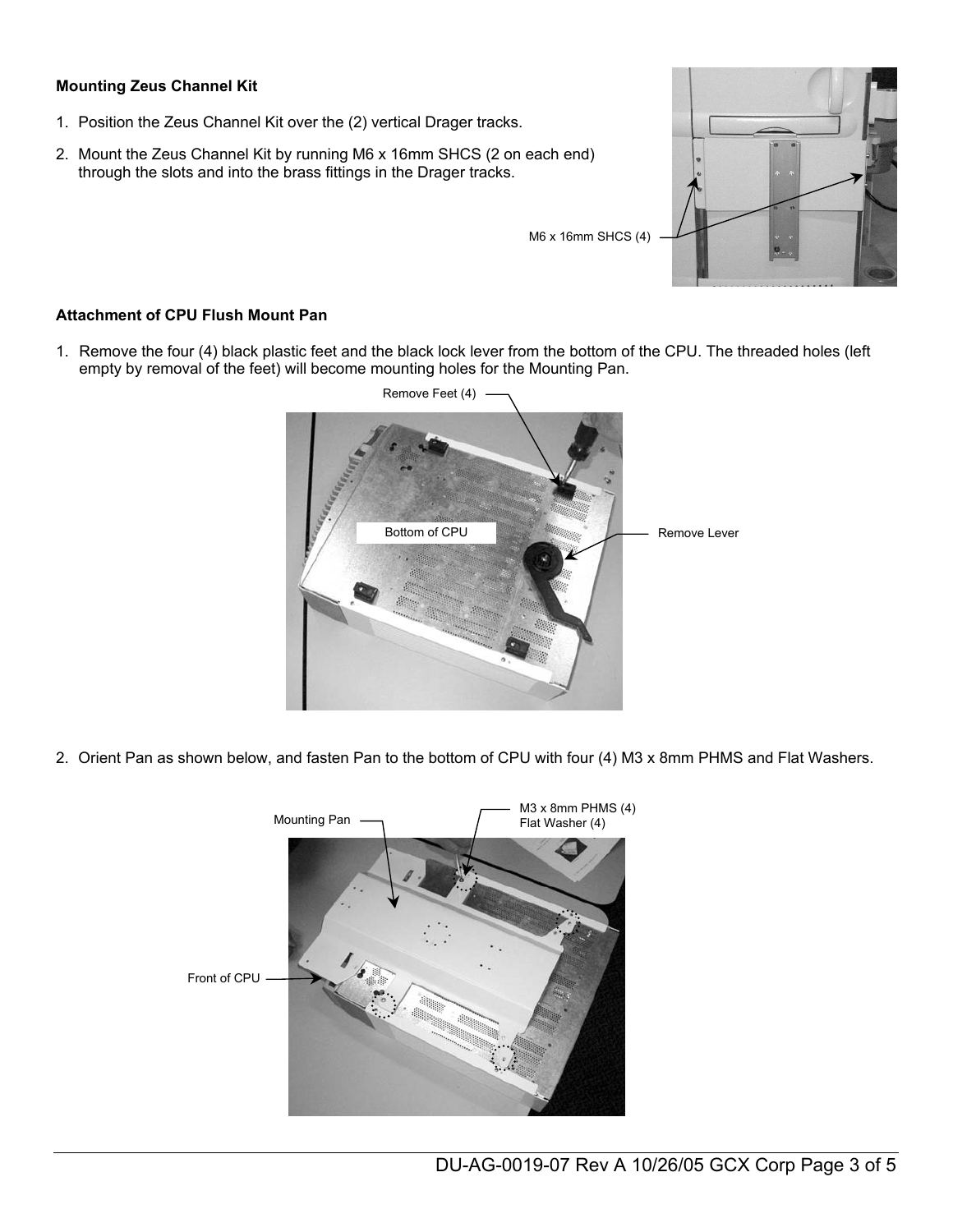## **Mounting Zeus Channel Kit**

- 1. Position the Zeus Channel Kit over the (2) vertical Drager tracks.
- 2. Mount the Zeus Channel Kit by running M6 x 16mm SHCS (2 on each end) through the slots and into the brass fittings in the Drager tracks.

### **Attachment of CPU Flush Mount Pan**

1. Remove the four (4) black plastic feet and the black lock lever from the bottom of the CPU. The threaded holes (left empty by removal of the feet) will become mounting holes for the Mounting Pan.



2. Orient Pan as shown below, and fasten Pan to the bottom of CPU with four (4) M3 x 8mm PHMS and Flat Washers.



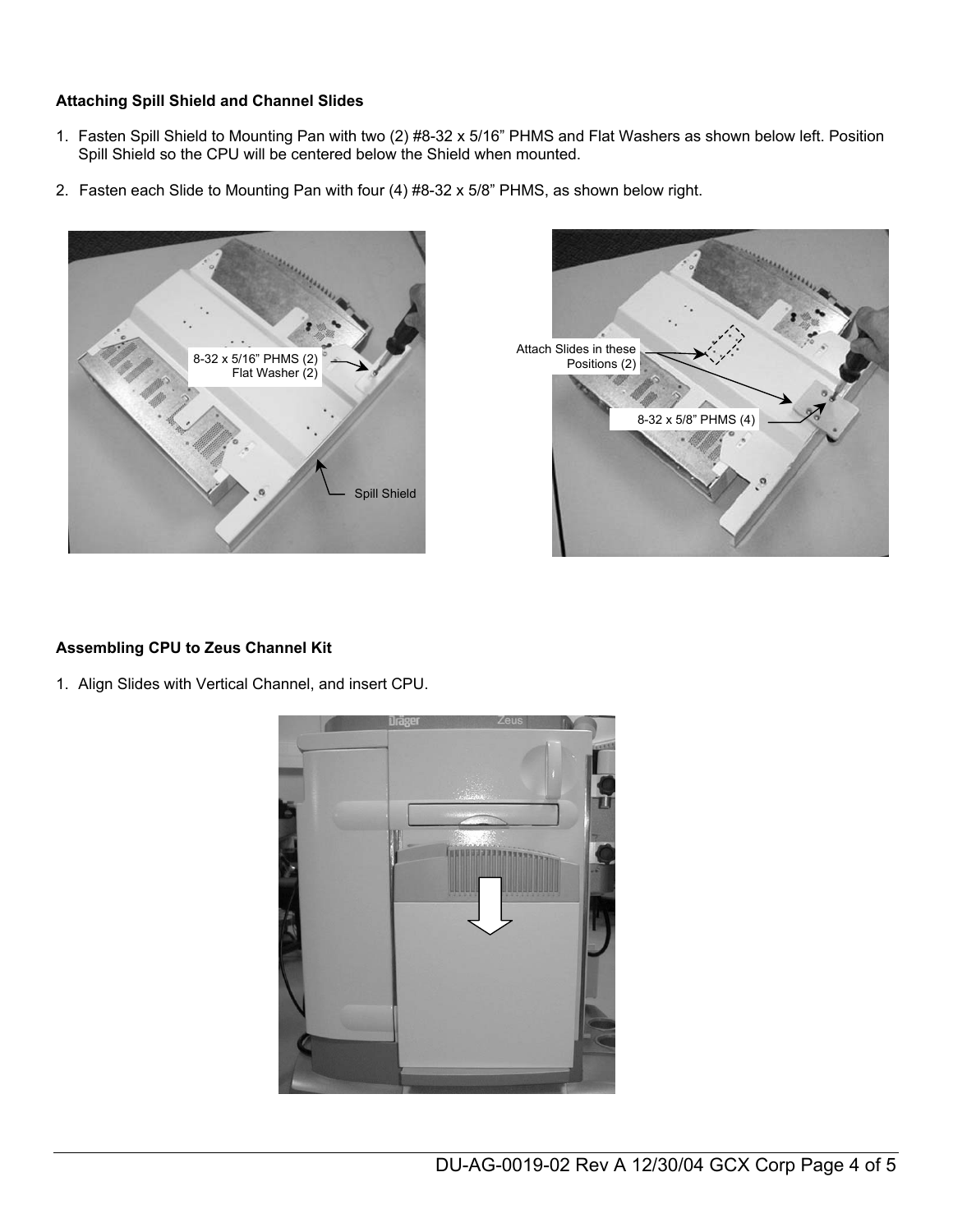## **Attaching Spill Shield and Channel Slides**

- 1. Fasten Spill Shield to Mounting Pan with two (2) #8-32 x 5/16" PHMS and Flat Washers as shown below left. Position Spill Shield so the CPU will be centered below the Shield when mounted.
- 2. Fasten each Slide to Mounting Pan with four (4) #8-32 x 5/8" PHMS, as shown below right.





## **Assembling CPU to Zeus Channel Kit**

1. Align Slides with Vertical Channel, and insert CPU.